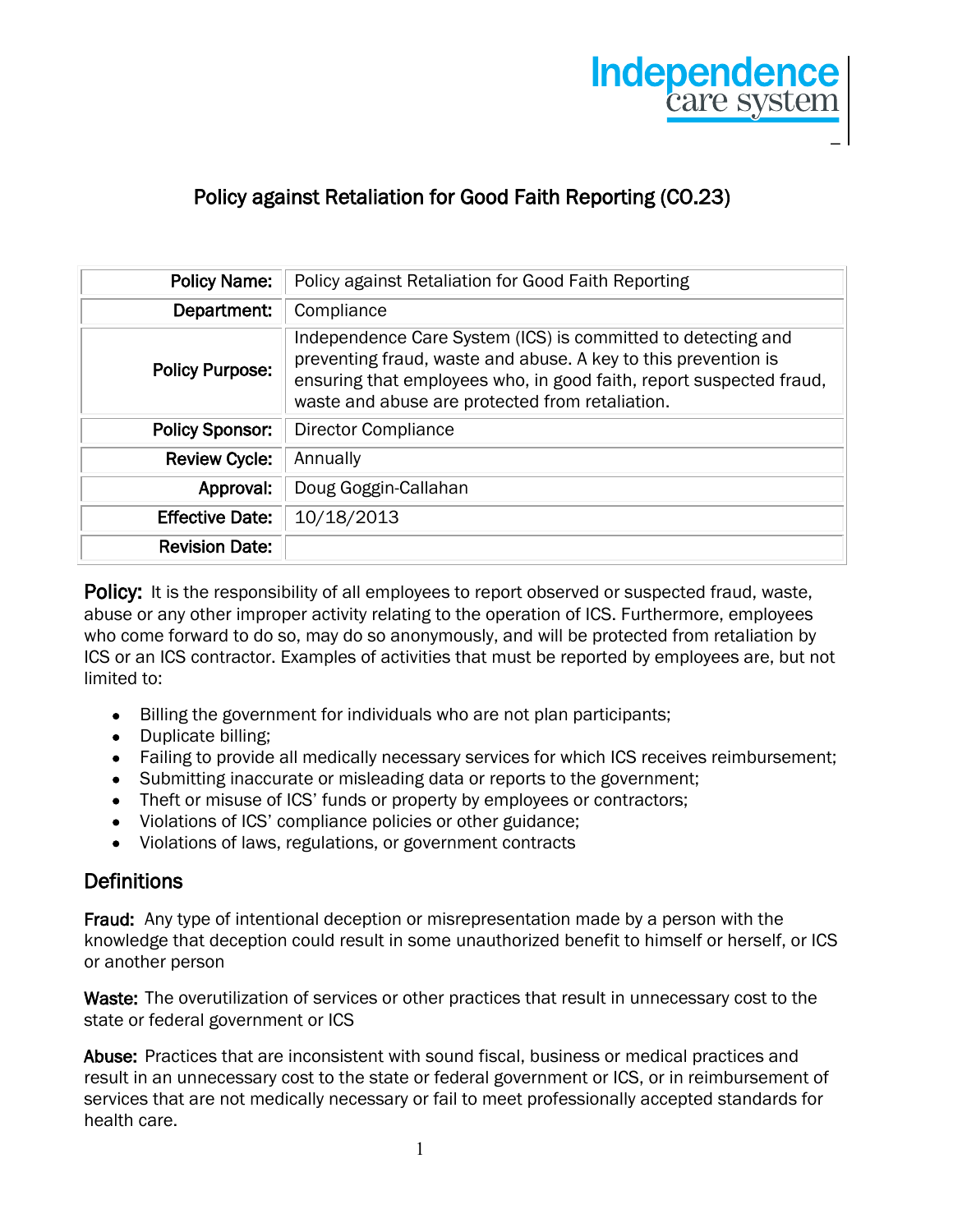

# Policy against Retaliation for Good Faith Reporting (CO.23)

| <b>Policy Name:</b>    | Policy against Retaliation for Good Faith Reporting                                                                                                                                                                                                      |
|------------------------|----------------------------------------------------------------------------------------------------------------------------------------------------------------------------------------------------------------------------------------------------------|
| Department:            | Compliance                                                                                                                                                                                                                                               |
| <b>Policy Purpose:</b> | Independence Care System (ICS) is committed to detecting and<br>preventing fraud, waste and abuse. A key to this prevention is<br>ensuring that employees who, in good faith, report suspected fraud,<br>waste and abuse are protected from retaliation. |
| <b>Policy Sponsor:</b> | <b>Director Compliance</b>                                                                                                                                                                                                                               |
| <b>Review Cycle:</b>   | Annually                                                                                                                                                                                                                                                 |
| Approval:              | Doug Goggin-Callahan                                                                                                                                                                                                                                     |
| <b>Effective Date:</b> | 10/18/2013                                                                                                                                                                                                                                               |
| <b>Revision Date:</b>  |                                                                                                                                                                                                                                                          |

**Policy:** It is the responsibility of all employees to report observed or suspected fraud, waste, abuse or any other improper activity relating to the operation of ICS. Furthermore, employees who come forward to do so, may do so anonymously, and will be protected from retaliation by ICS or an ICS contractor. Examples of activities that must be reported by employees are, but not limited to:

- Billing the government for individuals who are not plan participants;
- Duplicate billing;
- Failing to provide all medically necessary services for which ICS receives reimbursement;
- Submitting inaccurate or misleading data or reports to the government;
- Theft or misuse of ICS' funds or property by employees or contractors;
- Violations of ICS' compliance policies or other guidance;
- Violations of laws, regulations, or government contracts

#### **Definitions**

Fraud: Any type of intentional deception or misrepresentation made by a person with the knowledge that deception could result in some unauthorized benefit to himself or herself, or ICS or another person

Waste: The overutilization of services or other practices that result in unnecessary cost to the state or federal government or ICS

Abuse: Practices that are inconsistent with sound fiscal, business or medical practices and result in an unnecessary cost to the state or federal government or ICS, or in reimbursement of services that are not medically necessary or fail to meet professionally accepted standards for health care.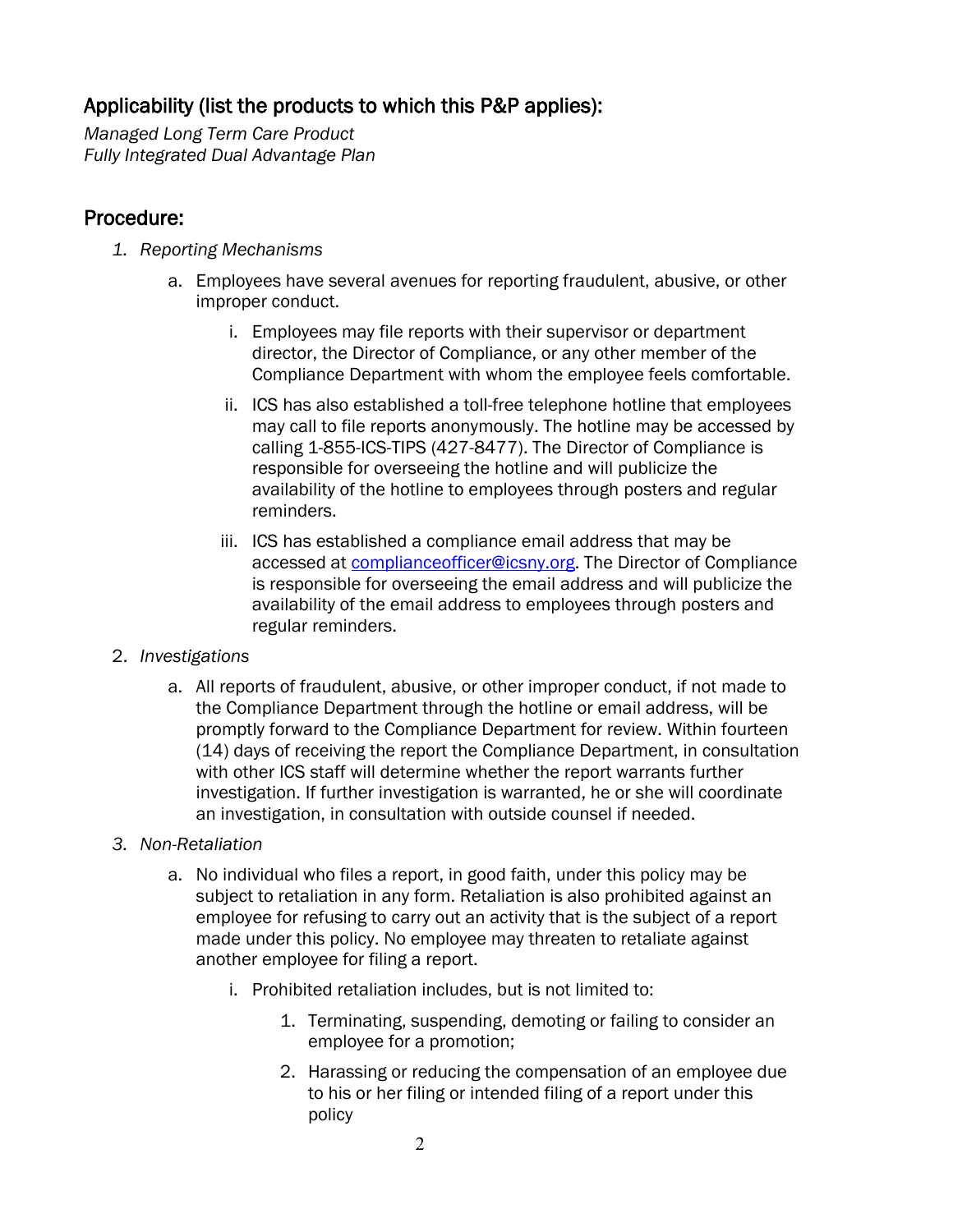## Applicability (list the products to which this P&P applies):

*Managed Long Term Care Product Fully Integrated Dual Advantage Plan*

## Procedure:

- *1. Reporting Mechanisms* 
	- a. Employees have several avenues for reporting fraudulent, abusive, or other improper conduct.
		- i. Employees may file reports with their supervisor or department director, the Director of Compliance, or any other member of the Compliance Department with whom the employee feels comfortable.
		- ii. ICS has also established a toll-free telephone hotline that employees may call to file reports anonymously. The hotline may be accessed by calling 1-855-ICS-TIPS (427-8477). The Director of Compliance is responsible for overseeing the hotline and will publicize the availability of the hotline to employees through posters and regular reminders.
		- iii. ICS has established a compliance email address that may be accessed at **complianceofficer@icsny.org**. The Director of Compliance is responsible for overseeing the email address and will publicize the availability of the email address to employees through posters and regular reminders.
- 2. *Investigations* 
	- a. All reports of fraudulent, abusive, or other improper conduct, if not made to the Compliance Department through the hotline or email address, will be promptly forward to the Compliance Department for review. Within fourteen (14) days of receiving the report the Compliance Department, in consultation with other ICS staff will determine whether the report warrants further investigation. If further investigation is warranted, he or she will coordinate an investigation, in consultation with outside counsel if needed.

#### *3. Non-Retaliation*

- a. No individual who files a report, in good faith, under this policy may be subject to retaliation in any form. Retaliation is also prohibited against an employee for refusing to carry out an activity that is the subject of a report made under this policy. No employee may threaten to retaliate against another employee for filing a report.
	- i. Prohibited retaliation includes, but is not limited to:
		- 1. Terminating, suspending, demoting or failing to consider an employee for a promotion;
		- 2. Harassing or reducing the compensation of an employee due to his or her filing or intended filing of a report under this policy